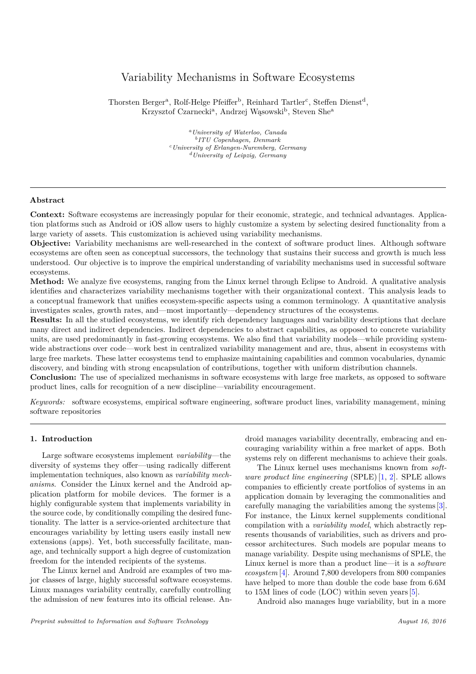# Variability Mechanisms in Software Ecosystems

Thorsten Berger<sup>a</sup>, Rolf-Helge Pfeiffer<sup>b</sup>, Reinhard Tartler<sup>c</sup>, Steffen Dienst<sup>d</sup>, Krzysztof Czarnecki<sup>a</sup>, Andrzej Wąsowski<sup>b</sup>, Steven She<sup>a</sup>

> *<sup>a</sup>University of Waterloo, Canada b ITU Copenhagen, Denmark <sup>c</sup>University of Erlangen-Nuremberg, Germany <sup>d</sup>University of Leipzig, Germany*

# **Abstract**

**Context:** Software ecosystems are increasingly popular for their economic, strategic, and technical advantages. Application platforms such as Android or iOS allow users to highly customize a system by selecting desired functionality from a large variety of assets. This customization is achieved using variability mechanisms.

**Objective:** Variability mechanisms are well-researched in the context of software product lines. Although software ecosystems are often seen as conceptual successors, the technology that sustains their success and growth is much less understood. Our objective is to improve the empirical understanding of variability mechanisms used in successful software ecosystems.

**Method:** We analyze five ecosystems, ranging from the Linux kernel through Eclipse to Android. A qualitative analysis identifies and characterizes variability mechanisms together with their organizational context. This analysis leads to a conceptual framework that unifies ecosystem-specific aspects using a common terminology. A quantitative analysis investigates scales, growth rates, and—most importantly—dependency structures of the ecosystems.

**Results:** In all the studied ecosystems, we identify rich dependency languages and variability descriptions that declare many direct and indirect dependencies. Indirect dependencies to abstract capabilities, as opposed to concrete variability units, are used predominantly in fast-growing ecosystems. We also find that variability models—while providing systemwide abstractions over code—work best in centralized variability management and are, thus, absent in ecosystems with large free markets. These latter ecosystems tend to emphasize maintaining capabilities and common vocabularies, dynamic discovery, and binding with strong encapsulation of contributions, together with uniform distribution channels.

**Conclusion:** The use of specialized mechanisms in software ecosystems with large free markets, as opposed to software product lines, calls for recognition of a new discipline—variability encouragement.

*Keywords:* software ecosystems, empirical software engineering, software product lines, variability management, mining software repositories

### **1. Introduction**

Large software ecosystems implement *variability*—the diversity of systems they offer—using radically different implementation techniques, also known as *variability mechanisms*. Consider the Linux kernel and the Android application platform for mobile devices. The former is a highly configurable system that implements variability in the source code, by conditionally compiling the desired functionality. The latter is a service-oriented architecture that encourages variability by letting users easily install new extensions (apps). Yet, both successfully facilitate, manage, and technically support a high degree of customization freedom for the intended recipients of the systems.

The Linux kernel and Android are examples of two major classes of large, highly successful software ecosystems. Linux manages variability centrally, carefully controlling the admission of new features into its official release. Android manages variability decentrally, embracing and encouraging variability within a free market of apps. Both systems rely on different mechanisms to achieve their goals.

The Linux kernel uses mechanisms known from *software product line engineering* (SPLE) [\[1,](#page-15-0) [2\]](#page-15-1). SPLE allows companies to efficiently create portfolios of systems in an application domain by leveraging the commonalities and carefully managing the variabilities among the systems [\[3\]](#page-15-2). For instance, the Linux kernel supplements conditional compilation with a *variability model*, which abstractly represents thousands of variabilities, such as drivers and processor architectures. Such models are popular means to manage variability. Despite using mechanisms of SPLE, the Linux kernel is more than a product line—it is a *software ecosystem* [\[4\]](#page-15-3). Around 7,800 developers from 800 companies have helped to more than double the code base from 6.6M to 15M lines of code (LOC) within seven years [\[5\]](#page-15-4).

Android also manages huge variability, but in a more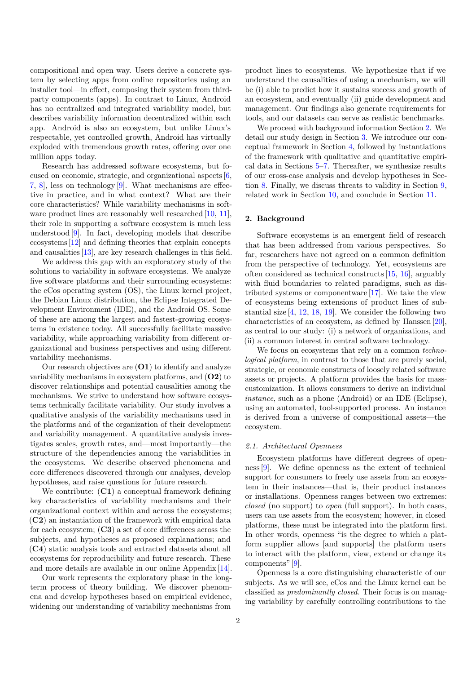compositional and open way. Users derive a concrete system by selecting apps from online repositories using an installer tool—in effect, composing their system from thirdparty components (apps). In contrast to Linux, Android has no centralized and integrated variability model, but describes variability information decentralized within each app. Android is also an ecosystem, but unlike Linux's respectable, yet controlled growth, Android has virtually exploded with tremendous growth rates, offering over one million apps today.

Research has addressed software ecosystems, but focused on economic, strategic, and organizational aspects [\[6,](#page-15-5) [7,](#page-15-6) [8\]](#page-15-7), less on technology [\[9\]](#page-15-8). What mechanisms are effective in practice, and in what context? What are their core characteristics? While variability mechanisms in soft-ware product lines are reasonably well researched [\[10,](#page-15-9) [11\]](#page-15-10), their role in supporting a software ecosystem is much less understood  $[9]$ . In fact, developing models that describe ecosystems [\[12\]](#page-15-11) and defining theories that explain concepts and causalities [\[13\]](#page-15-12), are key research challenges in this field.

We address this gap with an exploratory study of the solutions to variability in software ecosystems. We analyze five software platforms and their surrounding ecosystems: the eCos operating system (OS), the Linux kernel project, the Debian Linux distribution, the Eclipse Integrated Development Environment (IDE), and the Android OS. Some of these are among the largest and fastest-growing ecosystems in existence today. All successfully facilitate massive variability, while approaching variability from different organizational and business perspectives and using different variability mechanisms.

Our research objectives are (**O1**) to identify and analyze variability mechanisms in ecosystem platforms, and (**O2**) to discover relationships and potential causalities among the mechanisms. We strive to understand how software ecosystems technically facilitate variability. Our study involves a qualitative analysis of the variability mechanisms used in the platforms and of the organization of their development and variability management. A quantitative analysis investigates scales, growth rates, and—most importantly—the structure of the dependencies among the variabilities in the ecosystems. We describe observed phenomena and core differences discovered through our analyses, develop hypotheses, and raise questions for future research.

We contribute: (**C1**) a conceptual framework defining key characteristics of variability mechanisms and their organizational context within and across the ecosystems; (**C2**) an instantiation of the framework with empirical data for each ecosystem; (**C3**) a set of core differences across the subjects, and hypotheses as proposed explanations; and (**C4**) static analysis tools and extracted datasets about all ecosystems for reproducibility and future research. These and more details are available in our online Appendix [\[14\]](#page-15-13).

Our work represents the exploratory phase in the longterm process of theory building. We discover phenomena and develop hypotheses based on empirical evidence, widening our understanding of variability mechanisms from

product lines to ecosystems. We hypothesize that if we understand the causalities of using a mechanism, we will be (i) able to predict how it sustains success and growth of an ecosystem, and eventually (ii) guide development and management. Our findings also generate requirements for tools, and our datasets can serve as realistic benchmarks.

We proceed with background information Section [2.](#page-1-0) We detail our study design in Section [3.](#page-3-0) We introduce our conceptual framework in Section [4,](#page-4-0) followed by instantiations of the framework with qualitative and quantitative empirical data in Sections [5–](#page-4-1)[7.](#page-8-0) Thereafter, we synthesize results of our cross-case analysis and develop hypotheses in Section [8.](#page-10-0) Finally, we discuss threats to validity in Section [9,](#page-12-0) related work in Section [10,](#page-13-0) and conclude in Section [11.](#page-14-0)

# <span id="page-1-0"></span>**2. Background**

Software ecosystems is an emergent field of research that has been addressed from various perspectives. So far, researchers have not agreed on a common definition from the perspective of technology. Yet, ecosystems are often considered as technical constructs [\[15,](#page-15-14) [16\]](#page-15-15), arguably with fluid boundaries to related paradigms, such as distributed systems or componentware [\[17\]](#page-15-16). We take the view of ecosystems being extensions of product lines of substantial size [\[4,](#page-15-3) [12,](#page-15-11) [18,](#page-15-17) [19\]](#page-15-18). We consider the following two characteristics of an ecosystem, as defined by Hanssen [\[20\]](#page-15-19), as central to our study: (i) a network of organizations, and (ii) a common interest in central software technology.

We focus on ecosystems that rely on a common *technological platform*, in contrast to those that are purely social, strategic, or economic constructs of loosely related software assets or projects. A platform provides the basis for masscustomization. It allows consumers to derive an individual *instance*, such as a phone (Android) or an IDE (Eclipse), using an automated, tool-supported process. An instance is derived from a universe of compositional assets—the ecosystem.

#### *2.1. Architectural Openness*

Ecosystem platforms have different degrees of openness [\[9\]](#page-15-8). We define openness as the extent of technical support for consumers to freely use assets from an ecosystem in their instances—that is, their product instances or installations. Openness ranges between two extremes: *closed* (no support) to *open* (full support). In both cases, users can use assets from the ecosystem; however, in closed platforms, these must be integrated into the platform first. In other words, openness "is the degree to which a platform supplier allows [and supports] the platform users to interact with the platform, view, extend or change its components" [\[9\]](#page-15-8).

Openness is a core distinguishing characteristic of our subjects. As we will see, eCos and the Linux kernel can be classified as *predominantly closed*. Their focus is on managing variability by carefully controlling contributions to the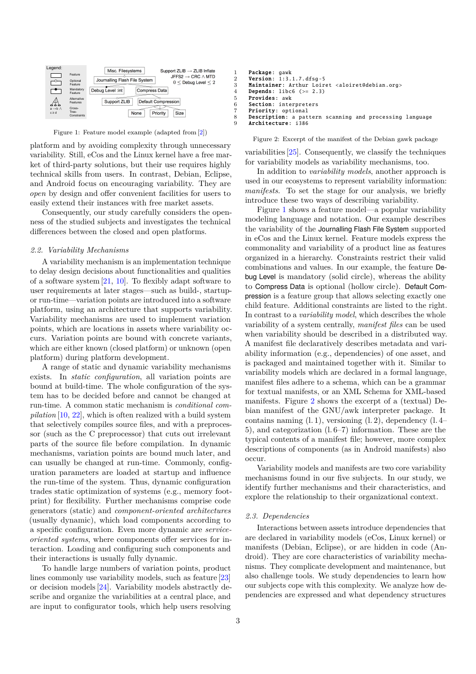

<span id="page-2-0"></span>Figure 1: Feature model example (adapted from [\[2\]](#page-15-1))

platform and by avoiding complexity through unnecessary variability. Still, eCos and the Linux kernel have a free market of third-party solutions, but their use requires highly technical skills from users. In contrast, Debian, Eclipse, and Android focus on encouraging variability. They are *open* by design and offer convenient facilities for users to easily extend their instances with free market assets.

Consequently, our study carefully considers the openness of the studied subjects and investigates the technical differences between the closed and open platforms.

# *2.2. Variability Mechanisms*

A variability mechanism is an implementation technique to delay design decisions about functionalities and qualities of a software system [\[21,](#page-15-20) [10\]](#page-15-9). To flexibly adapt software to user requirements at later stages—such as build-, startupor run-time—variation points are introduced into a software platform, using an architecture that supports variability. Variability mechanisms are used to implement variation points, which are locations in assets where variability occurs. Variation points are bound with concrete variants, which are either known (closed platform) or unknown (open platform) during platform development.

A range of static and dynamic variability mechanisms exists. In *static configuration*, all variation points are bound at build-time. The whole configuration of the system has to be decided before and cannot be changed at run-time. A common static mechanism is *conditional compilation* [\[10,](#page-15-9) [22\]](#page-15-21), which is often realized with a build system that selectively compiles source files, and with a preprocessor (such as the C preprocessor) that cuts out irrelevant parts of the source file before compilation. In dynamic mechanisms, variation points are bound much later, and can usually be changed at run-time. Commonly, configuration parameters are loaded at startup and influence the run-time of the system. Thus, dynamic configuration trades static optimization of systems (e.g., memory footprint) for flexibility. Further mechanisms comprise code generators (static) and *component-oriented architectures* (usually dynamic), which load components according to a specific configuration. Even more dynamic are *serviceoriented systems*, where components offer services for interaction. Loading and configuring such components and their interactions is usually fully dynamic.

To handle large numbers of variation points, product lines commonly use variability models, such as feature [\[23\]](#page-15-22) or decision models [\[24\]](#page-15-23). Variability models abstractly describe and organize the variabilities at a central place, and are input to configurator tools, which help users resolving

```
1 Package: gawk
2 Version: 1:3.1.7. dfsg -5
3 Maintainer: Arthur Loiret <aloiret@debian.org><br>4 Depends: libc6 (>= 2.3)
      Depends: libc6 (>= 2.3)5 Provides: awk<br>6 Section: inte
      Section: interpreters
7 Priority: optional<br>8 Description: a pat
     Description: a pattern scanning and processing language
     Architecture: i386
```
<span id="page-2-1"></span>Figure 2: Excerpt of the manifest of the Debian gawk package

variabilities [\[25\]](#page-15-24). Consequently, we classify the techniques for variability models as variability mechanisms, too.

In addition to *variability models*, another approach is used in our ecosystems to represent variability information: *manifests*. To set the stage for our analysis, we briefly introduce these two ways of describing variability.

Figure [1](#page-2-0) shows a feature model—a popular variability modeling language and notation. Our example describes the variability of the Journalling Flash File System supported in eCos and the Linux kernel. Feature models express the commonality and variability of a product line as features organized in a hierarchy. Constraints restrict their valid combinations and values. In our example, the feature Debug Level is mandatory (solid circle), whereas the ability to Compress Data is optional (hollow circle). Default Compression is a feature group that allows selecting exactly one child feature. Additional constraints are listed to the right. In contrast to a *variability model*, which describes the whole variability of a system centrally, *manifest files* can be used when variability should be described in a distributed way. A manifest file declaratively describes metadata and variability information (e.g., dependencies) of one asset, and is packaged and maintained together with it. Similar to variability models which are declared in a formal language, manifest files adhere to a schema, which can be a grammar for textual manifests, or an XML Schema for XML-based manifests. Figure [2](#page-2-1) shows the excerpt of a (textual) Debian manifest of the GNU/awk interpreter package. It contains naming  $(l, 1)$ , versioning  $(l, 2)$ , dependency  $(l, 4-$ 5), and categorization (l. 6–7) information. These are the typical contents of a manifest file; however, more complex descriptions of components (as in Android manifests) also occur.

Variability models and manifests are two core variability mechanisms found in our five subjects. In our study, we identify further mechanisms and their characteristics, and explore the relationship to their organizational context.

### *2.3. Dependencies*

Interactions between assets introduce dependencies that are declared in variability models (eCos, Linux kernel) or manifests (Debian, Eclipse), or are hidden in code (Android). They are core characteristics of variability mechanisms. They complicate development and maintenance, but also challenge tools. We study dependencies to learn how our subjects cope with this complexity. We analyze how dependencies are expressed and what dependency structures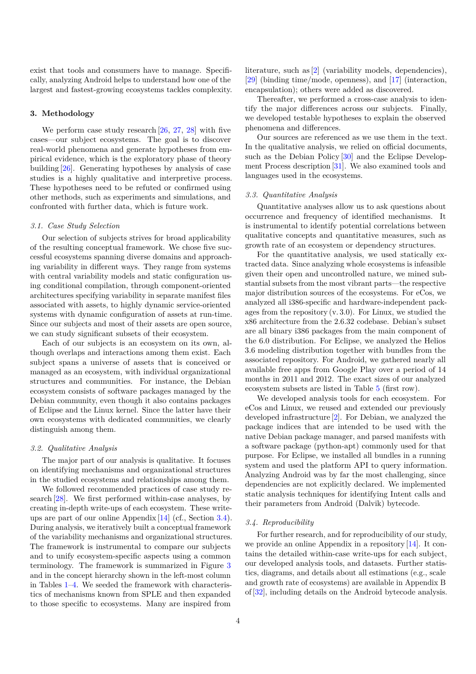exist that tools and consumers have to manage. Specifically, analyzing Android helps to understand how one of the largest and fastest-growing ecosystems tackles complexity.

#### <span id="page-3-0"></span>**3. Methodology**

We perform case study research [\[26,](#page-15-25) [27,](#page-15-26) [28\]](#page-15-27) with five cases—our subject ecosystems. The goal is to discover real-world phenomena and generate hypotheses from empirical evidence, which is the exploratory phase of theory building [\[26\]](#page-15-25). Generating hypotheses by analysis of case studies is a highly qualitative and interpretive process. These hypotheses need to be refuted or confirmed using other methods, such as experiments and simulations, and confronted with further data, which is future work.

#### *3.1. Case Study Selection*

Our selection of subjects strives for broad applicability of the resulting conceptual framework. We chose five successful ecosystems spanning diverse domains and approaching variability in different ways. They range from systems with central variability models and static configuration using conditional compilation, through component-oriented architectures specifying variability in separate manifest files associated with assets, to highly dynamic service-oriented systems with dynamic configuration of assets at run-time. Since our subjects and most of their assets are open source, we can study significant subsets of their ecosystem.

Each of our subjects is an ecosystem on its own, although overlaps and interactions among them exist. Each subject spans a universe of assets that is conceived or managed as an ecosystem, with individual organizational structures and communities. For instance, the Debian ecosystem consists of software packages managed by the Debian community, even though it also contains packages of Eclipse and the Linux kernel. Since the latter have their own ecosystems with dedicated communities, we clearly distinguish among them.

#### *3.2. Qualitative Analysis*

The major part of our analysis is qualitative. It focuses on identifying mechanisms and organizational structures in the studied ecosystems and relationships among them.

We followed recommended practices of case study research [\[28\]](#page-15-27). We first performed within-case analyses, by creating in-depth write-ups of each ecosystem. These writeups are part of our online Appendix [\[14\]](#page-15-13) (cf., Section [3.4\)](#page-3-1). During analysis, we iteratively built a conceptual framework of the variability mechanisms and organizational structures. The framework is instrumental to compare our subjects and to unify ecosystem-specific aspects using a common terminology. The framework is summarized in Figure [3](#page-4-2) and in the concept hierarchy shown in the left-most column in Tables [1](#page-5-0)[–4.](#page-8-1) We seeded the framework with characteristics of mechanisms known from SPLE and then expanded to those specific to ecosystems. Many are inspired from

literature, such as [\[2\]](#page-15-1) (variability models, dependencies), [\[29\]](#page-15-28) (binding time/mode, openness), and [\[17\]](#page-15-16) (interaction, encapsulation); others were added as discovered.

Thereafter, we performed a cross-case analysis to identify the major differences across our subjects. Finally, we developed testable hypotheses to explain the observed phenomena and differences.

Our sources are referenced as we use them in the text. In the qualitative analysis, we relied on official documents, such as the Debian Policy  $[30]$  and the Eclipse Development Process description [\[31\]](#page-15-30). We also examined tools and languages used in the ecosystems.

#### *3.3. Quantitative Analysis*

Quantitative analyses allow us to ask questions about occurrence and frequency of identified mechanisms. It is instrumental to identify potential correlations between qualitative concepts and quantitative measures, such as growth rate of an ecosystem or dependency structures.

For the quantitative analysis, we used statically extracted data. Since analyzing whole ecosystems is infeasible given their open and uncontrolled nature, we mined substantial subsets from the most vibrant parts—the respective major distribution sources of the ecosystems. For eCos, we analyzed all i386-specific and hardware-independent packages from the repository  $(v, 3.0)$ . For Linux, we studied the x86 architecture from the 2.6.32 codebase. Debian's subset are all binary i386 packages from the main component of the 6.0 distribution. For Eclipse, we analyzed the Helios 3.6 modeling distribution together with bundles from the associated repository. For Android, we gathered nearly all available free apps from Google Play over a period of 14 months in 2011 and 2012. The exact sizes of our analyzed ecosystem subsets are listed in Table [5](#page-9-0) (first row).

We developed analysis tools for each ecosystem. For eCos and Linux, we reused and extended our previously developed infrastructure [\[2\]](#page-15-1). For Debian, we analyzed the package indices that are intended to be used with the native Debian package manager, and parsed manifests with a software package (python-apt) commonly used for that purpose. For Eclipse, we installed all bundles in a running system and used the platform API to query information. Analyzing Android was by far the most challenging, since dependencies are not explicitly declared. We implemented static analysis techniques for identifying Intent calls and their parameters from Android (Dalvik) bytecode.

### <span id="page-3-1"></span>*3.4. Reproducibility*

For further research, and for reproducibility of our study, we provide an online Appendix in a repository [\[14\]](#page-15-13). It contains the detailed within-case write-ups for each subject, our developed analysis tools, and datasets. Further statistics, diagrams, and details about all estimations (e.g., scale and growth rate of ecosystems) are available in Appendix B of [\[32\]](#page-15-31), including details on the Android bytecode analysis.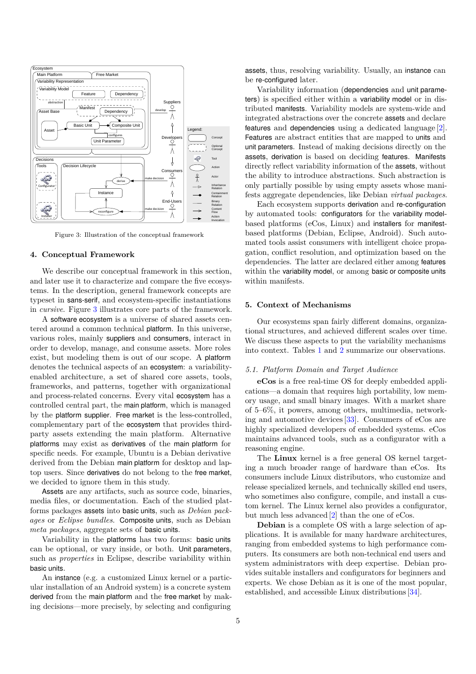

<span id="page-4-2"></span>Figure 3: Illustration of the conceptual framework

#### <span id="page-4-0"></span>**4. Conceptual Framework**

We describe our conceptual framework in this section, and later use it to characterize and compare the five ecosystems. In the description, general framework concepts are typeset in sans-serif, and ecosystem-specific instantiations in *cursive*. Figure [3](#page-4-2) illustrates core parts of the framework.

A software ecosystem is a universe of shared assets centered around a common technical platform. In this universe, various roles, mainly suppliers and consumers, interact in order to develop, manage, and consume assets. More roles exist, but modeling them is out of our scope. A platform denotes the technical aspects of an ecosystem: a variabilityenabled architecture, a set of shared core assets, tools, frameworks, and patterns, together with organizational and process-related concerns. Every vital ecosystem has a controlled central part, the main platform, which is managed by the platform supplier. Free market is the less-controlled, complementary part of the ecosystem that provides thirdparty assets extending the main platform. Alternative platforms may exist as derivatives of the main platform for specific needs. For example, Ubuntu is a Debian derivative derived from the Debian main platform for desktop and laptop users. Since derivatives do not belong to the free market, we decided to ignore them in this study.

Assets are any artifacts, such as source code, binaries, media files, or documentation. Each of the studied platforms packages assets into basic units, such as *Debian packages* or *Eclipse bundles*. Composite units, such as Debian *meta packages*, aggregate sets of basic units.

Variability in the platforms has two forms: basic units can be optional, or vary inside, or both. Unit parameters, such as *properties* in Eclipse, describe variability within basic units.

An instance (e.g. a customized Linux kernel or a particular installation of an Android system) is a concrete system derived from the main platform and the free market by making decisions—more precisely, by selecting and configuring

assets, thus, resolving variability. Usually, an instance can be re-configured later.

Variability information (dependencies and unit parameters) is specified either within a variability model or in distributed manifests. Variability models are system-wide and integrated abstractions over the concrete assets and declare features and dependencies using a dedicated language [\[2\]](#page-15-1). Features are abstract entities that are mapped to units and unit parameters. Instead of making decisions directly on the assets, derivation is based on deciding features. Manifests directly reflect variability information of the assets, without the ability to introduce abstractions. Such abstraction is only partially possible by using empty assets whose manifests aggregate dependencies, like Debian *virtual packages*.

Each ecosystem supports derivation and re-configuration by automated tools: configurators for the variability modelbased platforms (eCos, Linux) and installers for manifestbased platforms (Debian, Eclipse, Android). Such automated tools assist consumers with intelligent choice propagation, conflict resolution, and optimization based on the dependencies. The latter are declared either among features within the variability model, or among basic or composite units within manifests.

# <span id="page-4-1"></span>**5. Context of Mechanisms**

Our ecosystems span fairly different domains, organizational structures, and achieved different scales over time. We discuss these aspects to put the variability mechanisms into context. Tables [1](#page-5-0) and [2](#page-6-0) summarize our observations.

#### *5.1. Platform Domain and Target Audience*

**eCos** is a free real-time OS for deeply embedded applications—a domain that requires high portability, low memory usage, and small binary images. With a market share of 5–6%, it powers, among others, multimedia, networking and automotive devices [\[33\]](#page-15-32). Consumers of eCos are highly specialized developers of embedded systems. eCos maintains advanced tools, such as a configurator with a reasoning engine.

The **Linux** kernel is a free general OS kernel targeting a much broader range of hardware than eCos. Its consumers include Linux distributors, who customize and release specialized kernels, and technically skilled end users, who sometimes also configure, compile, and install a custom kernel. The Linux kernel also provides a configurator, but much less advanced [\[2\]](#page-15-1) than the one of eCos.

**Debian** is a complete OS with a large selection of applications. It is available for many hardware architectures, ranging from embedded systems to high performance computers. Its consumers are both non-technical end users and system administrators with deep expertise. Debian provides suitable installers and configurators for beginners and experts. We chose Debian as it is one of the most popular, established, and accessible Linux distributions [\[34\]](#page-15-33).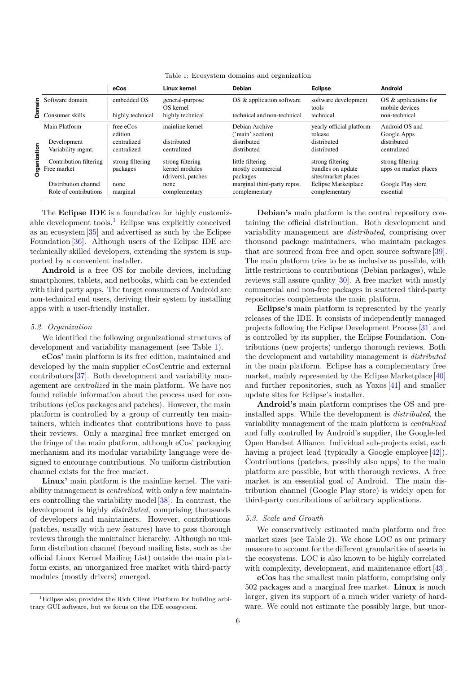|              |                        | eCos                 | Linux kernel                         | <b>Debian</b>                     | <b>Eclipse</b>                           | Android                                 |
|--------------|------------------------|----------------------|--------------------------------------|-----------------------------------|------------------------------------------|-----------------------------------------|
| Domain       | Software domain        | embedded OS          | general-purpose<br>OS kernel         | OS & application software         | software development<br>tools            | OS & applications for<br>mobile devices |
|              | Consumer skills        | highly technical     | highly technical                     | technical and non-technical       | technical                                | non-technical                           |
| Organization | Main Platform          | free eCos<br>edition | mainline kernel                      | Debian Archive<br>'main' section) | yearly official platform<br>release      | Android OS and<br>Google Apps           |
|              | Development            | centralized          | distributed                          | distributed                       | distributed                              | distributed                             |
|              | Variability mgmt.      | centralized          | centralized                          | distributed                       | distributed                              | centralized                             |
|              | Contribution filtering | strong filtering     | strong filtering                     | little filtering                  | strong filtering                         | strong filtering                        |
|              | Free market            | packages             | kernel modules<br>(drivers), patches | mostly commercial<br>packages     | bundles on update<br>sites/market places | apps on market places                   |
|              | Distribution channel   | none                 | none                                 | marginal third-party repos.       | Eclipse Marketplace                      | Google Play store                       |
|              | Role of contributions  | marginal             | complementary                        | complementary                     | complementary                            | essential                               |

<span id="page-5-0"></span>

|  |  | Table 1: Ecosystem domains and organization |
|--|--|---------------------------------------------|
|  |  |                                             |

The **Eclipse IDE** is a foundation for highly customiz-able development tools.<sup>[1](#page-5-1)</sup> Eclipse was explicitly conceived as an ecosystem [\[35\]](#page-15-34) and advertised as such by the Eclipse Foundation [\[36\]](#page-15-35). Although users of the Eclipse IDE are technically skilled developers, extending the system is supported by a convenient installer.

**Android** is a free OS for mobile devices, including smartphones, tablets, and netbooks, which can be extended with third party apps. The target consumers of Android are non-technical end users, deriving their system by installing apps with a user-friendly installer.

#### *5.2. Organization*

We identified the following organizational structures of development and variability management (see Table [1\)](#page-5-0).

**eCos'** main platform is its free edition, maintained and developed by the main supplier eCosCentric and external contributors [\[37\]](#page-15-36). Both development and variability management are *centralized* in the main platform. We have not found reliable information about the process used for contributions (eCos packages and patches). However, the main platform is controlled by a group of currently ten maintainers, which indicates that contributions have to pass their reviews. Only a marginal free market emerged on the fringe of the main platform, although eCos' packaging mechanism and its modular variability language were designed to encourage contributions. No uniform distribution channel exists for the free market.

**Linux'** main platform is the mainline kernel. The variability management is *centralized*, with only a few maintainers controlling the variability model [\[38\]](#page-15-37). In contrast, the development is highly *distributed*, comprising thousands of developers and maintainers. However, contributions (patches, usually with new features) have to pass thorough reviews through the maintainer hierarchy. Although no uniform distribution channel (beyond mailing lists, such as the official Linux Kernel Mailing List) outside the main platform exists, an unorganized free market with third-party modules (mostly drivers) emerged.

**Debian's** main platform is the central repository containing the official distribution. Both development and variability management are *distributed*, comprising over thousand package maintainers, who maintain packages that are sourced from free and open source software [\[39\]](#page-15-38). The main platform tries to be as inclusive as possible, with little restrictions to contributions (Debian packages), while reviews still assure quality [\[30\]](#page-15-29). A free market with mostly commercial and non-free packages in scattered third-party repositories complements the main platform.

**Eclipse's** main platform is represented by the yearly releases of the IDE. It consists of independently managed projects following the Eclipse Development Process [\[31\]](#page-15-30) and is controlled by its supplier, the Eclipse Foundation. Contributions (new projects) undergo thorough reviews. Both the development and variability management is *distributed* in the main platform. Eclipse has a complementary free market, mainly represented by the Eclipse Marketplace [\[40\]](#page-15-39) and further repositories, such as Yoxos [\[41\]](#page-15-40) and smaller update sites for Eclipse's installer.

**Android's** main platform comprises the OS and preinstalled apps. While the development is *distributed*, the variability management of the main platform is *centralized* and fully controlled by Android's supplier, the Google-led Open Handset Alliance. Individual sub-projects exist, each having a project lead (typically a Google employee [\[42\]](#page-15-41)). Contributions (patches, possibly also apps) to the main platform are possible, but with thorough reviews. A free market is an essential goal of Android. The main distribution channel (Google Play store) is widely open for third-party contributions of arbitrary applications.

# *5.3. Scale and Growth*

We conservatively estimated main platform and free market sizes (see Table [2\)](#page-6-0). We chose LOC as our primary measure to account for the different granularities of assets in the ecosystems. LOC is also known to be highly correlated with complexity, development, and maintenance effort [\[43\]](#page-15-42).

**eCos** has the smallest main platform, comprising only 502 packages and a marginal free market. **Linux** is much larger, given its support of a much wider variety of hardware. We could not estimate the possibly large, but unor-

<span id="page-5-1"></span><sup>1</sup>Eclipse also provides the Rich Client Platform for building arbitrary GUI software, but we focus on the IDE ecosystem.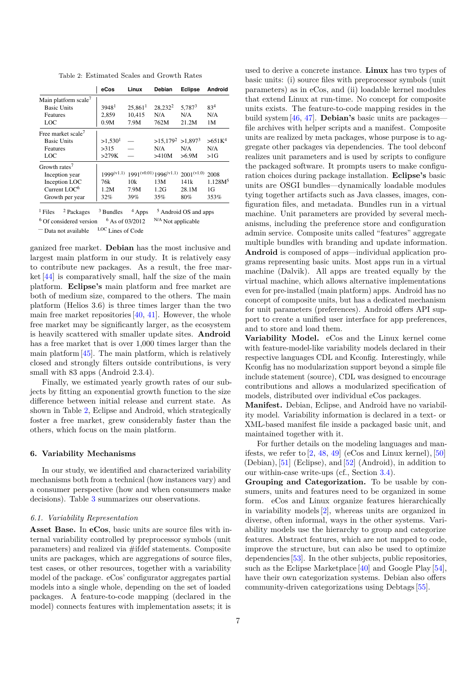<span id="page-6-0"></span>Table 2: Estimated Scales and Growth Rates

|                                             | eCos                | Linux                 | Debian                        | <b>Eclipse</b>                   | Android             |
|---------------------------------------------|---------------------|-----------------------|-------------------------------|----------------------------------|---------------------|
| Main platform scale <sup>/</sup>            |                     |                       |                               |                                  |                     |
| <b>Basic Units</b>                          | 3948 <sup>1</sup>   | $25,861$ <sup>1</sup> | $28,232^2$                    | 5,7873                           | 83 <sup>4</sup>     |
| Features                                    | 2,859               | 10,415                | N/A                           | N/A                              | N/A                 |
| LOC                                         | 0.9M                | 7.9M                  | 762M                          | 21.2M                            | 1M                  |
| Free market scale <sup>7</sup>              |                     |                       |                               |                                  |                     |
| <b>Basic Units</b>                          | >1.530 <sup>1</sup> |                       | $>15,179^2$ $>1,897^3$        |                                  | $>651K^4$           |
| Features                                    | >315                |                       | N/A                           | N/A                              | N/A                 |
| LOC                                         | >279K               |                       | >410M                         | >6.9M                            | >1G                 |
| Growth rates <sup>7</sup>                   |                     |                       |                               |                                  |                     |
| Inception year                              | $1999^{(v1.1)}$     |                       | $1991^{(v0.01)}1996^{(v1.1)}$ | $2001^{(v1.0)}$                  | 2008                |
| Inception LOC                               | 76k                 | 10k                   | 13M                           | 141k                             | 1.128M <sup>5</sup> |
| Current LOC <sup>6</sup>                    | 1.2M                | 7.9M                  | 1.2G                          | 28.1M                            | 1G                  |
| Growth per year                             | 32%                 | 39%                   | 35%                           | 80%                              | 353%                |
| <sup>2</sup> Packages<br><sup>1</sup> Files | $3$ Bundles         | $4$ Apps              |                               | <sup>5</sup> Android OS and apps |                     |
| $6$ Of considered version                   |                     | $6$ As of 03/2012     | <sup>N/A</sup> Not applicable |                                  |                     |
| $=$ Data not available                      | LOC Lines of Code   |                       |                               |                                  |                     |

ganized free market. **Debian** has the most inclusive and largest main platform in our study. It is relatively easy to contribute new packages. As a result, the free market [\[44\]](#page-15-43) is comparatively small, half the size of the main platform. **Eclipse's** main platform and free market are both of medium size, compared to the others. The main platform (Helios 3.6) is three times larger than the two main free market repositories [\[40,](#page-15-39) [41\]](#page-15-40). However, the whole free market may be significantly larger, as the ecosystem is heavily scattered with smaller update sites. **Android** has a free market that is over 1,000 times larger than the main platform  $[45]$ . The main platform, which is relatively closed and strongly filters outside contributions, is very small with 83 apps (Android 2.3.4).

Finally, we estimated yearly growth rates of our subjects by fitting an exponential growth function to the size difference between initial release and current state. As shown in Table [2,](#page-6-0) Eclipse and Android, which strategically foster a free market, grew considerably faster than the others, which focus on the main platform.

# **6. Variability Mechanisms**

In our study, we identified and characterized variability mechanisms both from a technical (how instances vary) and a consumer perspective (how and when consumers make decisions). Table [3](#page-7-0) summarizes our observations.

### *6.1. Variability Representation*

**Asset Base.** In **eCos**, basic units are source files with internal variability controlled by preprocessor symbols (unit parameters) and realized via #ifdef statements. Composite units are packages, which are aggregations of source files, test cases, or other resources, together with a variability model of the package. eCos' configurator aggregates partial models into a single whole, depending on the set of loaded packages. A feature-to-code mapping (declared in the model) connects features with implementation assets; it is

used to derive a concrete instance. **Linux** has two types of basic units: (i) source files with preprocessor symbols (unit parameters) as in eCos, and (ii) loadable kernel modules that extend Linux at run-time. No concept for composite units exists. The feature-to-code mapping resides in the build system [\[46,](#page-15-45) [47\]](#page-16-0). **Debian's** basic units are packages file archives with helper scripts and a manifest. Composite units are realized by meta packages, whose purpose is to aggregate other packages via dependencies. The tool debconf realizes unit parameters and is used by scripts to configure the packaged software. It prompts users to make configuration choices during package installation. **Eclipse's** basic units are OSGI bundles—dynamically loadable modules tying together artifacts such as Java classes, images, configuration files, and metadata. Bundles run in a virtual machine. Unit parameters are provided by several mechanisms, including the preference store and configuration admin service. Composite units called "features" aggregate multiple bundles with branding and update information. **Android** is composed of apps—individual application programs representing basic units. Most apps run in a virtual machine (Dalvik). All apps are treated equally by the virtual machine, which allows alternative implementations even for pre-installed (main platform) apps. Android has no concept of composite units, but has a dedicated mechanism for unit parameters (preferences). Android offers API support to create a unified user interface for app preferences, and to store and load them.

**Variability Model.** eCos and the Linux kernel come with feature-model-like variability models declared in their respective languages CDL and Kconfig. Interestingly, while Kconfig has no modularization support beyond a simple file include statement (source), CDL was designed to encourage contributions and allows a modularized specification of models, distributed over individual eCos packages.

**Manifest.** Debian, Eclipse, and Android have no variability model. Variability information is declared in a text- or XML-based manifest file inside a packaged basic unit, and maintained together with it.

For further details on the modeling languages and manifests, we refer to  $[2, 48, 49]$  $[2, 48, 49]$  $[2, 48, 49]$  $[2, 48, 49]$  $[2, 48, 49]$  (eCos and Linux kernel),  $[50]$ (Debian), [\[51\]](#page-16-4) (Eclipse), and [\[52\]](#page-16-5) (Android), in addition to our within-case write-ups (cf., Section [3.4\)](#page-3-1).

**Grouping and Categorization.** To be usable by consumers, units and features need to be organized in some form. eCos and Linux organize features hierarchically in variability models [\[2\]](#page-15-1), whereas units are organized in diverse, often informal, ways in the other systems. Variability models use the hierarchy to group and categorize features. Abstract features, which are not mapped to code, improve the structure, but can also be used to optimize dependencies [\[53\]](#page-16-6). In the other subjects, public repositories, such as the Eclipse Marketplace [\[40\]](#page-15-39) and Google Play [\[54\]](#page-16-7), have their own categorization systems. Debian also offers community-driven categorizations using Debtags [\[55\]](#page-16-8).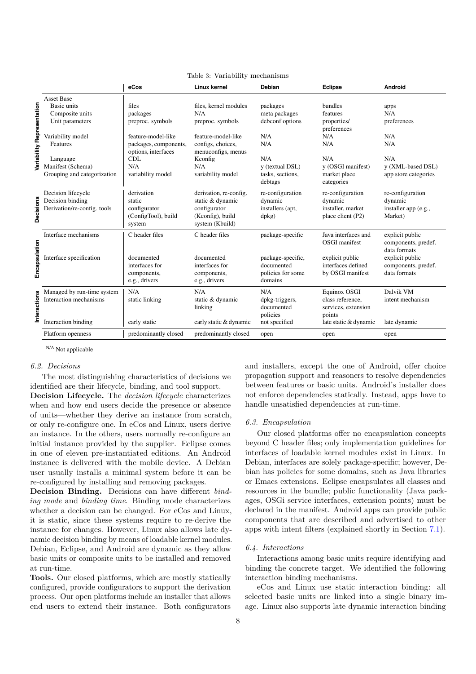|                            |                             | eCos                                         | Linux kernel                            | Debian                          | <b>Eclipse</b>                        | Android                             |
|----------------------------|-----------------------------|----------------------------------------------|-----------------------------------------|---------------------------------|---------------------------------------|-------------------------------------|
|                            | Asset Base                  |                                              |                                         |                                 |                                       |                                     |
|                            | <b>Basic</b> units          | files                                        | files, kernel modules                   | packages                        | bundles                               | apps                                |
|                            | Composite units             | packages                                     | N/A                                     | meta packages                   | features                              | N/A                                 |
| Variability Representation | Unit parameters             | preproc. symbols                             | preproc. symbols                        | debconf options                 | properties/<br>preferences            | preferences                         |
|                            | Variability model           | feature-model-like                           | feature-model-like                      | N/A                             | N/A                                   | N/A                                 |
|                            | Features                    | packages, components,<br>options, interfaces | configs, choices,<br>menuconfigs, menus | N/A                             | N/A                                   | N/A                                 |
|                            | Language                    | <b>CDL</b>                                   | Kconfig                                 | N/A                             | N/A                                   | N/A                                 |
|                            | Manifest (Schema)           | N/A                                          | N/A                                     | y (textual DSL)                 | y (OSGI manifest)                     | y (XML-based DSL)                   |
|                            | Grouping and categorization | variability model                            | variability model                       | tasks, sections,                | market place                          | app store categories                |
|                            |                             |                                              |                                         | debtags                         | categories                            |                                     |
|                            | Decision lifecycle          | derivation                                   | derivation, re-config.                  | re-configuration                | re-configuration                      | re-configuration                    |
|                            | Decision binding            | static                                       | static & dynamic                        | dynamic                         | dynamic                               | dynamic                             |
|                            | Derivation/re-config. tools | configurator                                 | configurator                            | installers (apt,                | installer, market                     | installer app (e.g.,                |
| Decisions                  |                             | (ConfigTool), build                          | (Kconfig), build                        | $d$ p $kg)$                     | place client (P2)                     | Market)                             |
|                            |                             | system                                       | system (Kbuild)                         |                                 |                                       |                                     |
|                            | Interface mechanisms        | C header files                               | C header files                          | package-specific                | Java interfaces and                   | explicit public                     |
| Encapsulation              |                             |                                              |                                         |                                 | <b>OSGI</b> manifest                  | components, predef.                 |
|                            |                             |                                              |                                         |                                 |                                       | data formats                        |
|                            | Interface specification     | documented<br>interfaces for                 | documented<br>interfaces for            | package-specific,<br>documented | explicit public<br>interfaces defined | explicit public                     |
|                            |                             |                                              |                                         | policies for some               | by OSGI manifest                      | components, predef.<br>data formats |
|                            |                             | components,<br>e.g., drivers                 | components,<br>e.g., drivers            | domains                         |                                       |                                     |
|                            |                             |                                              |                                         |                                 |                                       |                                     |
|                            | Managed by run-time system  | N/A                                          | N/A                                     | N/A                             | Equinox OSGI                          | Dalvik VM                           |
|                            | Interaction mechanisms      | static linking                               | static & dynamic                        | dpkg-triggers,                  | class reference,                      | intent mechanism                    |
|                            |                             |                                              | linking                                 | documented<br>policies          | services, extension<br>points         |                                     |
| Interactions               | Interaction binding         | early static                                 | early static & dynamic                  | not specified                   | late static & dynamic                 | late dynamic                        |
|                            |                             |                                              |                                         |                                 |                                       |                                     |
|                            | Platform openness           | predominantly closed                         | predominantly closed                    | open                            | open                                  | open                                |

#### <span id="page-7-0"></span>Table 3: Variability mechanisms

N/A Not applicable

# *6.2. Decisions*

The most distinguishing characteristics of decisions we identified are their lifecycle, binding, and tool support.

**Decision Lifecycle.** The *decision lifecycle* characterizes when and how end users decide the presence or absence of units—whether they derive an instance from scratch, or only re-configure one. In eCos and Linux, users derive an instance. In the others, users normally re-configure an initial instance provided by the supplier. Eclipse comes in one of eleven pre-instantiated editions. An Android instance is delivered with the mobile device. A Debian user usually installs a minimal system before it can be re-configured by installing and removing packages.

**Decision Binding.** Decisions can have different *binding mode* and *binding time*. Binding mode characterizes whether a decision can be changed. For eCos and Linux, it is static, since these systems require to re-derive the instance for changes. However, Linux also allows late dynamic decision binding by means of loadable kernel modules. Debian, Eclipse, and Android are dynamic as they allow basic units or composite units to be installed and removed at run-time.

**Tools.** Our closed platforms, which are mostly statically configured, provide configurators to support the derivation process. Our open platforms include an installer that allows end users to extend their instance. Both configurators

and installers, except the one of Android, offer choice propagation support and reasoners to resolve dependencies between features or basic units. Android's installer does not enforce dependencies statically. Instead, apps have to handle unsatisfied dependencies at run-time.

### *6.3. Encapsulation*

Our closed platforms offer no encapsulation concepts beyond C header files; only implementation guidelines for interfaces of loadable kernel modules exist in Linux. In Debian, interfaces are solely package-specific; however, Debian has policies for some domains, such as Java libraries or Emacs extensions. Eclipse encapsulates all classes and resources in the bundle; public functionality (Java packages, OSGi service interfaces, extension points) must be declared in the manifest. Android apps can provide public components that are described and advertised to other apps with intent filters (explained shortly in Section [7.1\)](#page-8-2).

### *6.4. Interactions*

Interactions among basic units require identifying and binding the concrete target. We identified the following interaction binding mechanisms.

eCos and Linux use static interaction binding: all selected basic units are linked into a single binary image. Linux also supports late dynamic interaction binding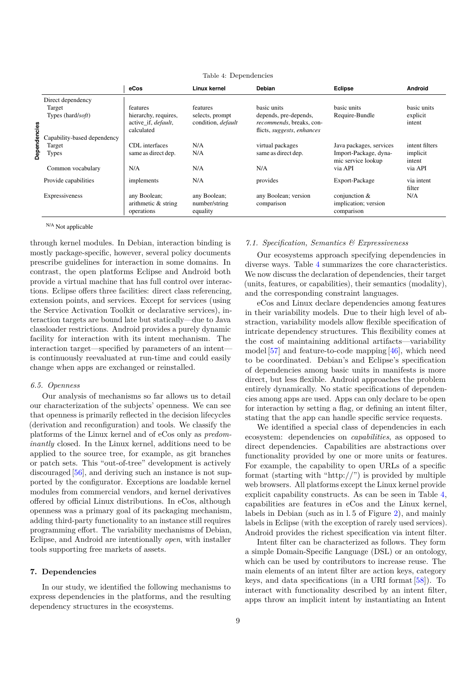|              |                             | eCos                                                                          | Linux kernel                                      | <b>Debian</b>                                                                                  | <b>Eclipse</b>                                        | Android                           |
|--------------|-----------------------------|-------------------------------------------------------------------------------|---------------------------------------------------|------------------------------------------------------------------------------------------------|-------------------------------------------------------|-----------------------------------|
|              | Direct dependency           |                                                                               |                                                   |                                                                                                |                                                       |                                   |
|              | Target<br>Types (hard/soft) | features<br>hierarchy, requires,<br>active_if, <i>default</i> ,<br>calculated | features<br>selects, prompt<br>condition, default | basic units<br>depends, pre-depends,<br>recommends, breaks, con-<br>flicts, suggests, enhances | basic units<br>Require-Bundle                         | basic units<br>explicit<br>intent |
|              | Capability-based dependency |                                                                               |                                                   |                                                                                                |                                                       |                                   |
|              | Target                      | CDL interfaces                                                                | N/A                                               | virtual packages                                                                               | Java packages, services                               | intent filters                    |
| Dependencies | <b>Types</b>                | same as direct dep.                                                           | N/A                                               | same as direct dep.                                                                            | Import-Package, dyna-<br>mic service lookup           | implicit<br>intent                |
|              | Common vocabulary           | N/A                                                                           | N/A                                               | N/A                                                                                            | via API                                               | via API                           |
|              | Provide capabilities        | implements                                                                    | N/A                                               | provides                                                                                       | Export-Package                                        | via intent<br>filter              |
|              | Expressiveness              | any Boolean;<br>arithmetic & string<br>operations                             | any Boolean;<br>number/string<br>equality         | any Boolean; version<br>comparison                                                             | conjunction $&$<br>implication; version<br>comparison | N/A                               |

<span id="page-8-1"></span>Table 4: Dependencies

N/A Not applicable

through kernel modules. In Debian, interaction binding is mostly package-specific, however, several policy documents prescribe guidelines for interaction in some domains. In contrast, the open platforms Eclipse and Android both provide a virtual machine that has full control over interactions. Eclipse offers three facilities: direct class referencing, extension points, and services. Except for services (using the Service Activation Toolkit or declarative services), interaction targets are bound late but statically—due to Java classloader restrictions. Android provides a purely dynamic facility for interaction with its intent mechanism. The interaction target—specified by parameters of an intent is continuously reevaluated at run-time and could easily change when apps are exchanged or reinstalled.

# *6.5. Openness*

Our analysis of mechanisms so far allows us to detail our characterization of the subjects' openness. We can see that openness is primarily reflected in the decision lifecycles (derivation and reconfiguration) and tools. We classify the platforms of the Linux kernel and of eCos only as *predominantly* closed. In the Linux kernel, additions need to be applied to the source tree, for example, as git branches or patch sets. This "out-of-tree" development is actively discouraged [\[56\]](#page-16-9), and deriving such an instance is not supported by the configurator. Exceptions are loadable kernel modules from commercial vendors, and kernel derivatives offered by official Linux distributions. In eCos, although openness was a primary goal of its packaging mechanism, adding third-party functionality to an instance still requires programming effort. The variability mechanisms of Debian, Eclipse, and Android are intentionally *open*, with installer tools supporting free markets of assets.

# <span id="page-8-0"></span>**7. Dependencies**

In our study, we identified the following mechanisms to express dependencies in the platforms, and the resulting dependency structures in the ecosystems.

# <span id="page-8-2"></span>*7.1. Specification, Semantics & Expressiveness*

Our ecosystems approach specifying dependencies in diverse ways. Table [4](#page-8-1) summarizes the core characteristics. We now discuss the declaration of dependencies, their target (units, features, or capabilities), their semantics (modality), and the corresponding constraint languages.

eCos and Linux declare dependencies among features in their variability models. Due to their high level of abstraction, variability models allow flexible specification of intricate dependency structures. This flexibility comes at the cost of maintaining additional artifacts—variability model [\[57\]](#page-16-10) and feature-to-code mapping [\[46\]](#page-15-45), which need to be coordinated. Debian's and Eclipse's specification of dependencies among basic units in manifests is more direct, but less flexible. Android approaches the problem entirely dynamically. No static specifications of dependencies among apps are used. Apps can only declare to be open for interaction by setting a flag, or defining an intent filter, stating that the app can handle specific service requests.

We identified a special class of dependencies in each ecosystem: dependencies on *capabilities*, as opposed to direct dependencies. Capabilities are abstractions over functionality provided by one or more units or features. For example, the capability to open URLs of a specific format (starting with "http://") is provided by multiple web browsers. All platforms except the Linux kernel provide explicit capability constructs. As can be seen in Table [4,](#page-8-1) capabilities are features in eCos and the Linux kernel, labels in Debian (such as in l. 5 of Figure [2\)](#page-2-1), and mainly labels in Eclipse (with the exception of rarely used services). Android provides the richest specification via intent filter.

Intent filter can be characterized as follows. They form a simple Domain-Specific Language (DSL) or an ontology, which can be used by contributors to increase reuse. The main elements of an intent filter are action keys, category keys, and data specifications (in a URI format [\[58\]](#page-16-11)). To interact with functionality described by an intent filter, apps throw an implicit intent by instantiating an Intent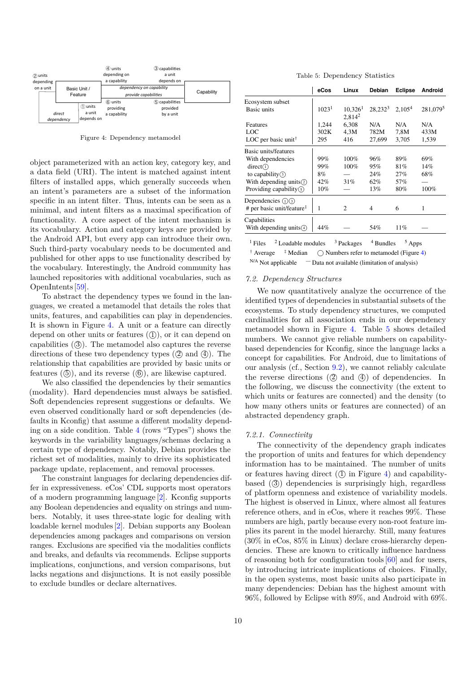

<span id="page-9-1"></span>Figure 4: Dependency metamodel

object parameterized with an action key, category key, and a data field (URI). The intent is matched against intent filters of installed apps, which generally succeeds when an intent's parameters are a subset of the information specific in an intent filter. Thus, intents can be seen as a minimal, and intent filters as a maximal specification of functionality. A core aspect of the intent mechanism is its vocabulary. Action and category keys are provided by the Android API, but every app can introduce their own. Such third-party vocabulary needs to be documented and published for other apps to use functionality described by the vocabulary. Interestingly, the Android community has launched repositories with additional vocabularies, such as OpenIntents [\[59\]](#page-16-12).

To abstract the dependency types we found in the languages, we created a metamodel that details the roles that units, features, and capabilities can play in dependencies. It is shown in Figure [4.](#page-9-1) A unit or a feature can directly depend on other units or features  $(1)$ , or it can depend on capabilities  $(3)$ . The metamodel also captures the reverse directions of these two dependency types  $(2)$  and  $(4)$ ). The relationship that capabilities are provided by basic units or features  $(5)$ , and its reverse  $(6)$ , are likewise captured.

We also classified the dependencies by their semantics (modality). Hard dependencies must always be satisfied. Soft dependencies represent suggestions or defaults. We even observed conditionally hard or soft dependencies (defaults in Kconfig) that assume a different modality depending on a side condition. Table [4](#page-8-1) (rows "Types") shows the keywords in the variability languages/schemas declaring a certain type of dependency. Notably, Debian provides the richest set of modalities, mainly to drive its sophisticated package update, replacement, and removal processes.

The constraint languages for declaring dependencies differ in expressiveness. eCos' CDL supports most operators of a modern programming language [\[2\]](#page-15-1). Kconfig supports any Boolean dependencies and equality on strings and numbers. Notably, it uses three-state logic for dealing with loadable kernel modules [\[2\]](#page-15-1). Debian supports any Boolean dependencies among packages and comparisons on version ranges. Exclusions are specified via the modalities conflicts and breaks, and defaults via recommends. Eclipse supports implications, conjunctions, and version comparisons, but lacks negations and disjunctions. It is not easily possible to exclude bundles or declare alternatives.

<span id="page-9-0"></span>Table 5: Dependency Statistics

|                                                    | eCos              | Linux                                       | Debian     | <b>Eclipse</b>     | Android              |
|----------------------------------------------------|-------------------|---------------------------------------------|------------|--------------------|----------------------|
| Ecosystem subset                                   |                   |                                             |            |                    |                      |
| Basic units                                        | 1023 <sup>1</sup> | $10,326$ <sup>1</sup><br>2.814 <sup>2</sup> | $28.232^3$ | 2.105 <sup>4</sup> | 281,079 <sup>5</sup> |
| Features                                           | 1,244             | 6,308                                       | N/A        | N/A                | N/A                  |
| LOC                                                | 302K              | 4.3M                                        | 782M       | 7,8M               | 433M                 |
| LOC per basic unit <sup><math>\dagger</math></sup> | 295               | 416                                         | 27,699     | 3,705              | 1,539                |
| Basic units/features                               |                   |                                             |            |                    |                      |
| With dependencies                                  | 99%               | 100%                                        | 96%        | 89%                | 69%                  |
| direct()                                           | 99%               | 100%                                        | 95%        | 81%                | 14%                  |
| to capability $\circ$                              | 8%                |                                             | 24%        | 27%                | 68%                  |
| With depending units $(2)$                         | 42%               | 31%                                         | 62%        | 57%                |                      |
| Providing capability $\binom{5}{2}$                | 10%               |                                             | 13%        | 80%                | 100%                 |
| Dependencies $(1)(3)$                              |                   |                                             |            |                    |                      |
| # per basic unit/feature <sup>#</sup>              | 1                 | $\mathcal{D}_{\mathcal{L}}$                 | 4          | 6                  | 1                    |
| Capabilities                                       |                   |                                             |            |                    |                      |
| With depending units $\binom{4}{3}$                | 44%               |                                             | 54%        | 11%                |                      |
|                                                    |                   |                                             |            |                    |                      |

<sup>1</sup> Files  $\frac{2 \text{ Loadable modules}}{3 \text{ Packages}}$   $\frac{4 \text{ Bundes}}{5 \text{ Apps}}$ <sup>†</sup> Average  $\downarrow$  Median  $\circ$  Numbers refer to metamodel (Figure [4\)](#page-9-1)

 $N/A$  Not applicable  $\qquad$   $\Box$  Data not available (limitation of analysis)

# *7.2. Dependency Structures*

We now quantitatively analyze the occurrence of the identified types of dependencies in substantial subsets of the ecosystems. To study dependency structures, we computed cardinalities for all association ends in our dependency metamodel shown in Figure [4.](#page-9-1) Table [5](#page-9-0) shows detailed numbers. We cannot give reliable numbers on capabilitybased dependencies for Kconfig, since the language lacks a concept for capabilities. For Android, due to limitations of our analysis (cf., Section [9.2\)](#page-12-1), we cannot reliably calculate the reverse directions  $(2)$  and  $(4)$  of dependencies. In the following, we discuss the connectivity (the extent to which units or features are connected) and the density (to how many others units or features are connected) of an abstracted dependency graph.

### *7.2.1. Connectivity*

The connectivity of the dependency graph indicates the proportion of units and features for which dependency information has to be maintained. The number of units or features having direct  $(1)$  in Figure [4\)](#page-9-1) and capabilitybased (3) dependencies is surprisingly high, regardless of platform openness and existence of variability models. The highest is observed in Linux, where almost all features reference others, and in eCos, where it reaches 99%. These numbers are high, partly because every non-root feature implies its parent in the model hierarchy. Still, many features (30% in eCos, 85% in Linux) declare cross-hierarchy dependencies. These are known to critically influence hardness of reasoning both for configuration tools [\[60\]](#page-16-13) and for users, by introducing intricate implications of choices. Finally, in the open systems, most basic units also participate in many dependencies: Debian has the highest amount with 96%, followed by Eclipse with 89%, and Android with 69%.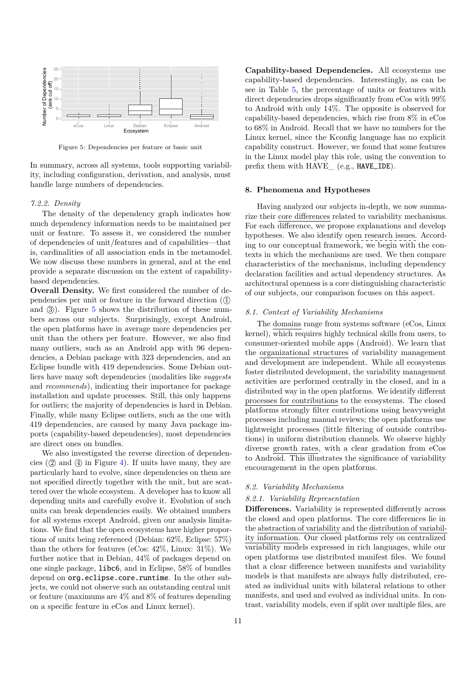

<span id="page-10-1"></span>Figure 5: Dependencies per feature or basic unit

In summary, across all systems, tools supporting variability, including configuration, derivation, and analysis, must handle large numbers of dependencies.

#### *7.2.2. Density*

The density of the dependency graph indicates how much dependency information needs to be maintained per unit or feature. To assess it, we considered the number of dependencies of unit/features and of capabilities—that is, cardinalities of all association ends in the metamodel. We now discuss these numbers in general, and at the end provide a separate discussion on the extent of capabilitybased dependencies.

**Overall Density.** We first considered the number of dependencies per unit or feature in the forward direction ( 1 and  $(3)$ ). Figure [5](#page-10-1) shows the distribution of these numbers across our subjects. Surprisingly, except Android, the open platforms have in average more dependencies per unit than the others per feature. However, we also find many outliers, such as an Android app with 96 dependencies, a Debian package with 323 dependencies, and an Eclipse bundle with 419 dependencies. Some Debian outliers have many soft dependencies (modalities like *suggests* and *recommends*), indicating their importance for package installation and update processes. Still, this only happens for outliers; the majority of dependencies is hard in Debian. Finally, while many Eclipse outliers, such as the one with 419 dependencies, are caused by many Java package imports (capability-based dependencies), most dependencies are direct ones on bundles.

We also investigated the reverse direction of dependencies  $(2)$  and  $(4)$  $(4)$  in Figure 4). If units have many, they are particularly hard to evolve, since dependencies on them are not specified directly together with the unit, but are scattered over the whole ecosystem. A developer has to know all depending units and carefully evolve it. Evolution of such units can break dependencies easily. We obtained numbers for all systems except Android, given our analysis limitations. We find that the open ecosystems have higher proportions of units being referenced (Debian: 62%, Eclipse: 57%) than the others for features (eCos: 42%, Linux: 31%). We further notice that in Debian, 44% of packages depend on one single package, libc6, and in Eclipse, 58% of bundles depend on org.eclipse.core.runtime. In the other subjects, we could not observe such an outstanding central unit or feature (maximums are 4% and 8% of features depending on a specific feature in eCos and Linux kernel).

**Capability-based Dependencies.** All ecosystems use capability-based dependencies. Interestingly, as can be see in Table [5,](#page-9-0) the percentage of units or features with direct dependencies drops significantly from eCos with 99% to Android with only 14%. The opposite is observed for capability-based dependencies, which rise from 8% in eCos to 68% in Android. Recall that we have no numbers for the Linux kernel, since the Kconfig language has no explicit capability construct. However, we found that some features in the Linux model play this role, using the convention to prefix them with HAVE (e.g., HAVE\_IDE).

#### <span id="page-10-0"></span>**8. Phenomena and Hypotheses**

Having analyzed our subjects in-depth, we now summarize their core differences related to variability mechanisms. For each difference, we propose explanations and develop hypotheses. We also identify open research issues. According to our conceptual framework, we begin with the contexts in which the mechanisms are used. We then compare characteristics of the mechanisms, including dependency declaration facilities and actual dependency structures. As architectural openness is a core distinguishing characteristic of our subjects, our comparison focuses on this aspect.

# *8.1. Context of Variability Mechanisms*

The domains range from systems software (eCos, Linux kernel), which requires highly technical skills from users, to consumer-oriented mobile apps (Android). We learn that the organizational structures of variability management and development are independent. While all ecosystems foster distributed development, the variability management activities are performed centrally in the closed, and in a distributed way in the open platforms. We identify different processes for contributions to the ecosystems. The closed platforms strongly filter contributions using heavyweight processes including manual reviews; the open platforms use lightweight processes (little filtering of outside contributions) in uniform distribution channels. We observe highly diverse growth rates, with a clear gradation from eCos to Android. This illustrates the significance of variability encouragement in the open platforms.

### *8.2. Variability Mechanisms*

# *8.2.1. Variability Representation*

**Differences.** Variability is represented differently across the closed and open platforms. The core differences lie in the abstraction of variability and the distribution of variability information. Our closed platforms rely on centralized variability models expressed in rich languages, while our open platforms use distributed manifest files. We found that a clear difference between manifests and variability models is that manifests are always fully distributed, created as individual units with bilateral relations to other manifests, and used and evolved as individual units. In contrast, variability models, even if split over multiple files, are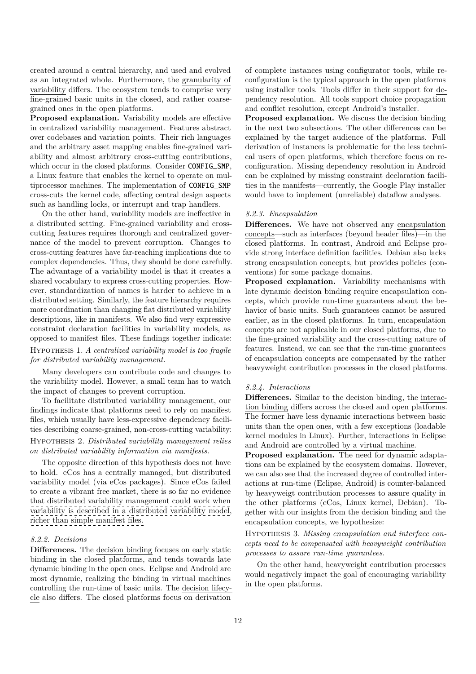created around a central hierarchy, and used and evolved as an integrated whole. Furthermore, the granularity of variability differs. The ecosystem tends to comprise very fine-grained basic units in the closed, and rather coarsegrained ones in the open platforms.

**Proposed explanation.** Variability models are effective in centralized variability management. Features abstract over codebases and variation points. Their rich languages and the arbitrary asset mapping enables fine-grained variability and almost arbitrary cross-cutting contributions, which occur in the closed platforms. Consider CONFIG\_SMP, a Linux feature that enables the kernel to operate on multiprocessor machines. The implementation of CONFIG\_SMP cross-cuts the kernel code, affecting central design aspects such as handling locks, or interrupt and trap handlers.

On the other hand, variability models are ineffective in a distributed setting. Fine-grained variability and crosscutting features requires thorough and centralized governance of the model to prevent corruption. Changes to cross-cutting features have far-reaching implications due to complex dependencies. Thus, they should be done carefully. The advantage of a variability model is that it creates a shared vocabulary to express cross-cutting properties. However, standardization of names is harder to achieve in a distributed setting. Similarly, the feature hierarchy requires more coordination than changing flat distributed variability descriptions, like in manifests. We also find very expressive constraint declaration facilities in variability models, as opposed to manifest files. These findings together indicate: Hypothesis 1. *A centralized variability model is too fragile for distributed variability management.*

Many developers can contribute code and changes to the variability model. However, a small team has to watch the impact of changes to prevent corruption.

To facilitate distributed variability management, our findings indicate that platforms need to rely on manifest files, which usually have less-expressive dependency facilities describing coarse-grained, non-cross-cutting variability:

Hypothesis 2. *Distributed variability management relies on distributed variability information via manifests.*

The opposite direction of this hypothesis does not have to hold. eCos has a centrally managed, but distributed variability model (via eCos packages). Since eCos failed to create a vibrant free market, there is so far no evidence that distributed variability management could work when variability is described in a distributed variability model, richer than simple manifest files.

# *8.2.2. Decisions*

**Differences.** The decision binding focuses on early static binding in the closed platforms, and tends towards late dynamic binding in the open ones. Eclipse and Android are most dynamic, realizing the binding in virtual machines controlling the run-time of basic units. The decision lifecycle also differs. The closed platforms focus on derivation

of complete instances using configurator tools, while reconfiguration is the typical approach in the open platforms using installer tools. Tools differ in their support for dependency resolution. All tools support choice propagation and conflict resolution, except Android's installer.

**Proposed explanation.** We discuss the decision binding in the next two subsections. The other differences can be explained by the target audience of the platforms. Full derivation of instances is problematic for the less technical users of open platforms, which therefore focus on reconfiguration. Missing dependency resolution in Android can be explained by missing constraint declaration facilities in the manifests—currently, the Google Play installer would have to implement (unreliable) dataflow analyses.

### *8.2.3. Encapsulation*

**Differences.** We have not observed any encapsulation concepts—such as interfaces (beyond header files)—in the closed platforms. In contrast, Android and Eclipse provide strong interface definition facilities. Debian also lacks strong encapsulation concepts, but provides policies (conventions) for some package domains.

**Proposed explanation.** Variability mechanisms with late dynamic decision binding require encapsulation concepts, which provide run-time guarantees about the behavior of basic units. Such guarantees cannot be assured earlier, as in the closed platforms. In turn, encapsulation concepts are not applicable in our closed platforms, due to the fine-grained variability and the cross-cutting nature of features. Instead, we can see that the run-time guarantees of encapsulation concepts are compensated by the rather heavyweight contribution processes in the closed platforms.

#### *8.2.4. Interactions*

**Differences.** Similar to the decision binding, the interaction binding differs across the closed and open platforms. The former have less dynamic interactions between basic units than the open ones, with a few exceptions (loadable kernel modules in Linux). Further, interactions in Eclipse and Android are controlled by a virtual machine.

**Proposed explanation.** The need for dynamic adaptations can be explained by the ecosystem domains. However, we can also see that the increased degree of controlled interactions at run-time (Eclipse, Android) is counter-balanced by heavyweigt contribution processes to assure quality in the other platforms (eCos, Linux kernel, Debian). Together with our insights from the decision binding and the encapsulation concepts, we hypothesize:

Hypothesis 3. *Missing encapsulation and interface concepts need to be compensated with heavyweight contribution processes to assure run-time guarantees.*

On the other hand, heavyweight contribution processes would negatively impact the goal of encouraging variability in the open platforms.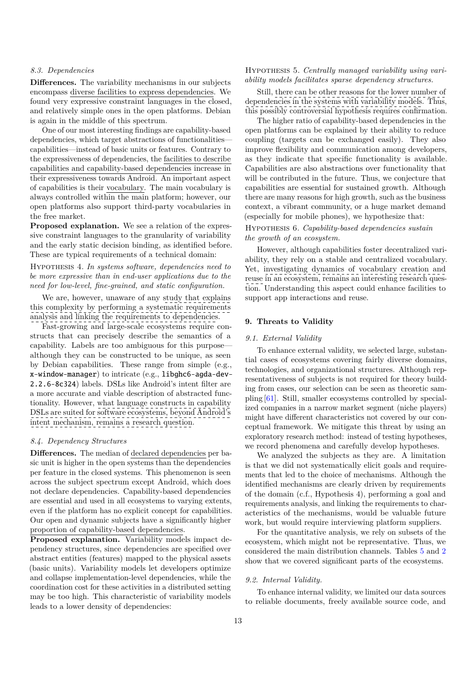# *8.3. Dependencies*

**Differences.** The variability mechanisms in our subjects encompass diverse facilities to express dependencies. We found very expressive constraint languages in the closed, and relatively simple ones in the open platforms. Debian is again in the middle of this spectrum.

One of our most interesting findings are capability-based dependencies, which target abstractions of functionalities capabilities—instead of basic units or features. Contrary to the expressiveness of dependencies, the facilities to describe capabilities and capability-based dependencies increase in their expressiveness towards Android. An important aspect of capabilities is their vocabulary. The main vocabulary is always controlled within the main platform; however, our open platforms also support third-party vocabularies in the free market.

**Proposed explanation.** We see a relation of the expressive constraint languages to the granularity of variability and the early static decision binding, as identified before. These are typical requirements of a technical domain:

# Hypothesis 4. *In systems software, dependencies need to be more expressive than in end-user applications due to the need for low-level, fine-grained, and static configuration.*

We are, however, unaware of any study that explains this complexity by performing a systematic requirements analysis and linking the requirements to dependencies.

Fast-growing and large-scale ecosystems require constructs that can precisely describe the semantics of a capability. Labels are too ambiguous for this purpose although they can be constructed to be unique, as seen by Debian capabilities. These range from simple (e.g., x-window-manager) to intricate (e.g., libghc6-agda-dev-2.2.6-8c324) labels. DSLs like Android's intent filter are a more accurate and viable description of abstracted functionality. However, what language constructs in capability DSLs are suited for software ecosystems, beyond Android's intent mechanism, remains a research question.

# *8.4. Dependency Structures*

**Differences.** The median of declared dependencies per basic unit is higher in the open systems than the dependencies per feature in the closed systems. This phenomenon is seen across the subject spectrum except Android, which does not declare dependencies. Capability-based dependencies are essential and used in all ecosystems to varying extents, even if the platform has no explicit concept for capabilities. Our open and dynamic subjects have a significantly higher proportion of capability-based dependencies.

**Proposed explanation.** Variability models impact dependency structures, since dependencies are specified over abstract entities (features) mapped to the physical assets (basic units). Variability models let developers optimize and collapse implementation-level dependencies, while the coordination cost for these activities in a distributed setting may be too high. This characteristic of variability models leads to a lower density of dependencies:

# Hypothesis 5. *Centrally managed variability using variability models facilitates sparse dependency structures.*

Still, there can be other reasons for the lower number of dependencies in the systems with variability models. Thus, this possibly controversial hypothesis requires confirmation.

The higher ratio of capability-based dependencies in the open platforms can be explained by their ability to reduce coupling (targets can be exchanged easily). They also improve flexibility and communication among developers, as they indicate that specific functionality is available. Capabilities are also abstractions over functionality that will be contributed in the future. Thus, we conjecture that capabilities are essential for sustained growth. Although there are many reasons for high growth, such as the business context, a vibrant community, or a huge market demand (especially for mobile phones), we hypothesize that:

# Hypothesis 6. *Capability-based dependencies sustain the growth of an ecosystem.*

However, although capabilities foster decentralized variability, they rely on a stable and centralized vocabulary. Yet, investigating dynamics of vocabulary creation and reuse in an ecosystem, remains an interesting research question. Understanding this aspect could enhance facilities to support app interactions and reuse.

# <span id="page-12-0"></span>**9. Threats to Validity**

#### *9.1. External Validity*

To enhance external validity, we selected large, substantial cases of ecosystems covering fairly diverse domains, technologies, and organizational structures. Although representativeness of subjects is not required for theory building from cases, our selection can be seen as theoretic sampling [\[61\]](#page-16-14). Still, smaller ecosystems controlled by specialized companies in a narrow market segment (niche players) might have different characteristics not covered by our conceptual framework. We mitigate this threat by using an exploratory research method: instead of testing hypotheses, we record phenomena and carefully develop hypotheses.

We analyzed the subjects as they are. A limitation is that we did not systematically elicit goals and requirements that led to the choice of mechanisms. Although the identified mechanisms are clearly driven by requirements of the domain (c.f., Hypothesis 4), performing a goal and requirements analysis, and linking the requirements to characteristics of the mechanisms, would be valuable future work, but would require interviewing platform suppliers.

For the quantitative analysis, we rely on subsets of the ecosystem, which might not be representative. Thus, we considered the main distribution channels. Tables [5](#page-9-0) and [2](#page-6-0) show that we covered significant parts of the ecosystems.

# <span id="page-12-1"></span>*9.2. Internal Validity.*

To enhance internal validity, we limited our data sources to reliable documents, freely available source code, and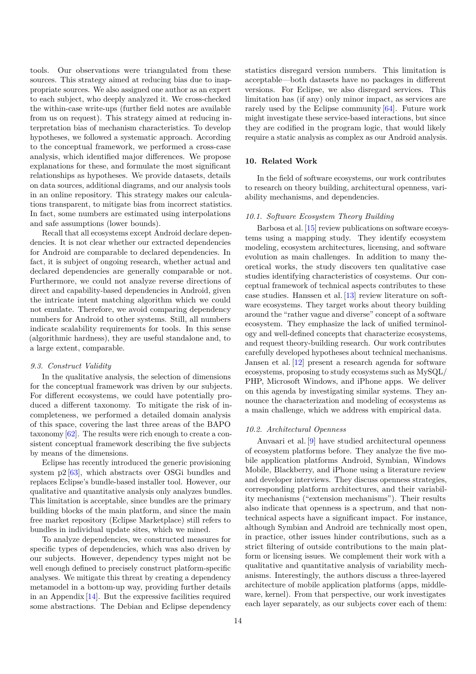tools. Our observations were triangulated from these sources. This strategy aimed at reducing bias due to inappropriate sources. We also assigned one author as an expert to each subject, who deeply analyzed it. We cross-checked the within-case write-ups (further field notes are available from us on request). This strategy aimed at reducing interpretation bias of mechanism characteristics. To develop hypotheses, we followed a systematic approach. According to the conceptual framework, we performed a cross-case analysis, which identified major differences. We propose explanations for these, and formulate the most significant relationships as hypotheses. We provide datasets, details on data sources, additional diagrams, and our analysis tools in an online repository. This strategy makes our calculations transparent, to mitigate bias from incorrect statistics. In fact, some numbers are estimated using interpolations and safe assumptions (lower bounds).

Recall that all ecosystems except Android declare dependencies. It is not clear whether our extracted dependencies for Android are comparable to declared dependencies. In fact, it is subject of ongoing research, whether actual and declared dependencies are generally comparable or not. Furthermore, we could not analyze reverse directions of direct and capability-based dependencies in Android, given the intricate intent matching algorithm which we could not emulate. Therefore, we avoid comparing dependency numbers for Android to other systems. Still, all numbers indicate scalability requirements for tools. In this sense (algorithmic hardness), they are useful standalone and, to a large extent, comparable.

# *9.3. Construct Validity*

In the qualitative analysis, the selection of dimensions for the conceptual framework was driven by our subjects. For different ecosystems, we could have potentially produced a different taxonomy. To mitigate the risk of incompleteness, we performed a detailed domain analysis of this space, covering the last three areas of the BAPO taxonomy [\[62\]](#page-16-15). The results were rich enough to create a consistent conceptual framework describing the five subjects by means of the dimensions.

Eclipse has recently introduced the generic provisioning system p2 [\[63\]](#page-16-16), which abstracts over OSGi bundles and replaces Eclipse's bundle-based installer tool. However, our qualitative and quantitative analysis only analyzes bundles. This limitation is acceptable, since bundles are the primary building blocks of the main platform, and since the main free market repository (Eclipse Marketplace) still refers to bundles in individual update sites, which we mined.

To analyze dependencies, we constructed measures for specific types of dependencies, which was also driven by our subjects. However, dependency types might not be well enough defined to precisely construct platform-specific analyses. We mitigate this threat by creating a dependency metamodel in a bottom-up way, providing further details in an Appendix  $[14]$ . But the expressive facilities required some abstractions. The Debian and Eclipse dependency

statistics disregard version numbers. This limitation is acceptable—both datasets have no packages in different versions. For Eclipse, we also disregard services. This limitation has (if any) only minor impact, as services are rarely used by the Eclipse community [\[64\]](#page-16-17). Future work might investigate these service-based interactions, but since they are codified in the program logic, that would likely require a static analysis as complex as our Android analysis.

# <span id="page-13-0"></span>**10. Related Work**

In the field of software ecosystems, our work contributes to research on theory building, architectural openness, variability mechanisms, and dependencies.

# *10.1. Software Ecosystem Theory Building*

Barbosa et al. [\[15\]](#page-15-14) review publications on software ecosystems using a mapping study. They identify ecosystem modeling, ecosystem architectures, licensing, and software evolution as main challenges. In addition to many theoretical works, the study discovers ten qualitative case studies identifying characteristics of cosystems. Our conceptual framework of technical aspects contributes to these case studies. Hanssen et al. [\[13\]](#page-15-12) review literature on software ecosystems. They target works about theory building around the "rather vague and diverse" concept of a software ecosystem. They emphasize the lack of unified terminology and well-defined concepts that characterize ecosystems, and request theory-building research. Our work contributes carefully developed hypotheses about technical mechanisms. Jansen et al. [\[12\]](#page-15-11) present a research agenda for software ecosystems, proposing to study ecosystems such as MySQL/ PHP, Microsoft Windows, and iPhone apps. We deliver on this agenda by investigating similar systems. They announce the characterization and modeling of ecosystems as a main challenge, which we address with empirical data.

# *10.2. Architectural Openness*

Anvaari et al. [\[9\]](#page-15-8) have studied architectural openness of ecosystem platforms before. They analyze the five mobile application platforms Android, Symbian, Windows Mobile, Blackberry, and iPhone using a literature review and developer interviews. They discuss openness strategies, corresponding platform architectures, and their variability mechanisms ("extension mechanisms"). Their results also indicate that openness is a spectrum, and that nontechnical aspects have a significant impact. For instance, although Symbian and Android are technically most open, in practice, other issues hinder contributions, such as a strict filtering of outside contributions to the main platform or licensing issues. We complement their work with a qualitative and quantitative analysis of variability mechanisms. Interestingly, the authors discuss a three-layered architecture of mobile application platforms (apps, middleware, kernel). From that perspective, our work investigates each layer separately, as our subjects cover each of them: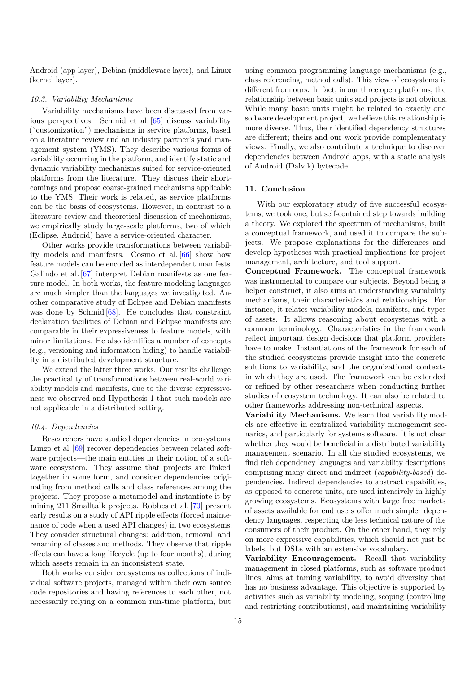Android (app layer), Debian (middleware layer), and Linux (kernel layer).

# *10.3. Variability Mechanisms*

Variability mechanisms have been discussed from various perspectives. Schmid et al. [\[65\]](#page-16-18) discuss variability ("customization") mechanisms in service platforms, based on a literature review and an industry partner's yard management system (YMS). They describe various forms of variability occurring in the platform, and identify static and dynamic variability mechanisms suited for service-oriented platforms from the literature. They discuss their shortcomings and propose coarse-grained mechanisms applicable to the YMS. Their work is related, as service platforms can be the basis of ecosystems. However, in contrast to a literature review and theoretical discussion of mechanisms, we empirically study large-scale platforms, two of which (Eclipse, Android) have a service-oriented character.

Other works provide transformations between variability models and manifests. Cosmo et al. [\[66\]](#page-16-19) show how feature models can be encoded as interdependent manifests. Galindo et al. [\[67\]](#page-16-20) interpret Debian manifests as one feature model. In both works, the feature modeling languages are much simpler than the languages we investigated. Another comparative study of Eclipse and Debian manifests was done by Schmid [\[68\]](#page-16-21). He concludes that constraint declaration facilities of Debian and Eclipse manifests are comparable in their expressiveness to feature models, with minor limitations. He also identifies a number of concepts (e.g., versioning and information hiding) to handle variability in a distributed development structure.

We extend the latter three works. Our results challenge the practicality of transformations between real-world variability models and manifests, due to the diverse expressiveness we observed and Hypothesis 1 that such models are not applicable in a distributed setting.

# *10.4. Dependencies*

Researchers have studied dependencies in ecosystems. Lungo et al. [\[69\]](#page-16-22) recover dependencies between related software projects—the main entities in their notion of a software ecosystem. They assume that projects are linked together in some form, and consider dependencies originating from method calls and class references among the projects. They propose a metamodel and instantiate it by mining 211 Smalltalk projects. Robbes et al. [\[70\]](#page-16-23) present early results on a study of API ripple effects (forced maintenance of code when a used API changes) in two ecosystems. They consider structural changes: addition, removal, and renaming of classes and methods. They observe that ripple effects can have a long lifecycle (up to four months), during which assets remain in an inconsistent state.

Both works consider ecosystems as collections of individual software projects, managed within their own source code repositories and having references to each other, not necessarily relying on a common run-time platform, but

using common programming language mechanisms (e.g., class referencing, method calls). This view of ecosystems is different from ours. In fact, in our three open platforms, the relationship between basic units and projects is not obvious. While many basic units might be related to exactly one software development project, we believe this relationship is more diverse. Thus, their identified dependency structures are different; theirs and our work provide complementary views. Finally, we also contribute a technique to discover dependencies between Android apps, with a static analysis of Android (Dalvik) bytecode.

# <span id="page-14-0"></span>**11. Conclusion**

With our exploratory study of five successful ecosystems, we took one, but self-contained step towards building a theory. We explored the spectrum of mechanisms, built a conceptual framework, and used it to compare the subjects. We propose explanations for the differences and develop hypotheses with practical implications for project management, architecture, and tool support.

**Conceptual Framework.** The conceptual framework was instrumental to compare our subjects. Beyond being a helper construct, it also aims at understanding variability mechanisms, their characteristics and relationships. For instance, it relates variability models, manifests, and types of assets. It allows reasoning about ecosystems with a common terminology. Characteristics in the framework reflect important design decisions that platform providers have to make. Instantiations of the framework for each of the studied ecosystems provide insight into the concrete solutions to variability, and the organizational contexts in which they are used. The framework can be extended or refined by other researchers when conducting further studies of ecosystem technology. It can also be related to other frameworks addressing non-technical aspects.

**Variability Mechanisms.** We learn that variability models are effective in centralized variability management scenarios, and particularly for systems software. It is not clear whether they would be beneficial in a distributed variability management scenario. In all the studied ecosystems, we find rich dependency languages and variability descriptions comprising many direct and indirect (*capability-based*) dependencies. Indirect dependencies to abstract capabilities, as opposed to concrete units, are used intensively in highly growing ecosystems. Ecosystems with large free markets of assets available for end users offer much simpler dependency languages, respecting the less technical nature of the consumers of their product. On the other hand, they rely on more expressive capabilities, which should not just be labels, but DSLs with an extensive vocabulary.

**Variability Encouragement.** Recall that variability management in closed platforms, such as software product lines, aims at taming variability, to avoid diversity that has no business advantage. This objective is supported by activities such as variability modeling, scoping (controlling and restricting contributions), and maintaining variability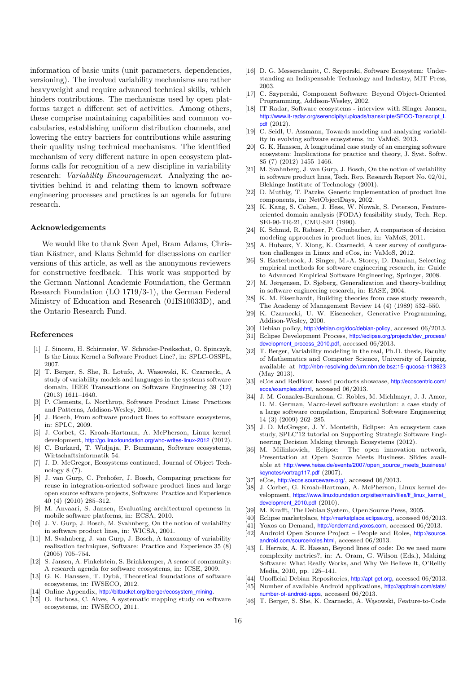information of basic units (unit parameters, dependencies, versioning). The involved variability mechanisms are rather heavyweight and require advanced technical skills, which hinders contributions. The mechanisms used by open platforms target a different set of activities. Among others, these comprise maintaining capabilities and common vocabularies, establishing uniform distribution channels, and lowering the entry barriers for contributions while assuring their quality using technical mechanisms. The identified mechanism of very different nature in open ecosystem platforms calls for recognition of a new discipline in variability research: *Variability Encouragement*. Analyzing the activities behind it and relating them to known software engineering processes and practices is an agenda for future research.

# **Acknowledgements**

We would like to thank Sven Apel, Bram Adams, Christian Kästner, and Klaus Schmid for discussions on earlier versions of this article, as well as the anonymous reviewers for constructive feedback. This work was supported by the German National Academic Foundation, the German Research Foundation (LO 1719/3-1), the German Federal Ministry of Education and Research (01IS10033D), and the Ontario Research Fund.

# **References**

- <span id="page-15-0"></span>[1] J. Sincero, H. Schirmeier, W. Schröder-Preikschat, O. Spinczyk, Is the Linux Kernel a Software Product Line?, in: SPLC-OSSPL, 2007.
- <span id="page-15-1"></span>[2] T. Berger, S. She, R. Lotufo, A. Wasowski, K. Czarnecki, A study of variability models and languages in the systems software domain, IEEE Transactions on Software Engineering 39 (12) (2013) 1611–1640.
- <span id="page-15-2"></span>[3] P. Clements, L. Northrop, Software Product Lines: Practices and Patterns, Addison-Wesley, 2001.
- <span id="page-15-3"></span>[4] J. Bosch, From software product lines to software ecosystems, in: SPLC, 2009.
- <span id="page-15-4"></span>[5] J. Corbet, G. Kroah-Hartman, A. McPherson, Linux kernel development, <http://go.linuxfoundation.org/who-writes-linux-2012> (2012).
- <span id="page-15-5"></span>[6] C. Burkard, T. Widjaja, P. Buxmann, Software ecosystems, Wirtschaftsinformatik 54.
- <span id="page-15-6"></span>[7] J. D. McGregor, Ecosystems continued, Journal of Object Technology  $8(7)$ .
- <span id="page-15-7"></span>[8] J. van Gurp, C. Prehofer, J. Bosch, Comparing practices for reuse in integration-oriented software product lines and large open source software projects, Software: Practice and Experience 40 (4) (2010) 285–312.
- <span id="page-15-8"></span>[9] M. Anvaari, S. Jansen, Evaluating architectural openness in mobile software platforms, in: ECSA, 2010.
- <span id="page-15-9"></span>[10] J. V. Gurp, J. Bosch, M. Svahnberg, On the notion of variability in software product lines, in: WICSA, 2001.
- <span id="page-15-10"></span>[11] M. Svahnberg, J. van Gurp, J. Bosch, A taxonomy of variability realization techniques, Software: Practice and Experience 35 (8) (2005) 705–754.
- <span id="page-15-11"></span>[12] S. Jansen, A. Finkelstein, S. Brinkkemper, A sense of community: A research agenda for software ecosystems, in: ICSE, 2009.
- <span id="page-15-12"></span>[13] G. K. Hanssen, T. Dybå, Theoretical foundations of software ecosystems, in: IWSECO, 2012.
- <span id="page-15-13"></span>[14] Online Appendix, [http://bitbucket.org/tberger/ecosystem\\_mining](http://bitbucket.org/tberger/ecosystem_mining).
- <span id="page-15-14"></span>[15] O. Barbosa, C. Alves, A systematic mapping study on software ecosystems, in: IWSECO, 2011.
- <span id="page-15-15"></span>[16] D. G. Messerschmitt, C. Szyperski, Software Ecosystem: Understanding an Indispensable Technology and Industry, MIT Press, 2003.
- <span id="page-15-16"></span>[17] C. Szyperski, Component Software: Beyond Object-Oriented Programming, Addison-Wesley, 2002.
- <span id="page-15-17"></span>[18] IT Radar, Software ecosystems - interview with Slinger Jansen, [http://www.it-radar.org/serendipity/uploads/transkripte/SECO-Transcript\\_I.](http://www.it-radar.org/serendipity/uploads/transkripte/SECO-Transcript_I.pdf) [pdf](http://www.it-radar.org/serendipity/uploads/transkripte/SECO-Transcript_I.pdf) (2012).
- <span id="page-15-18"></span>[19] C. Seidl, U. Assmann, Towards modeling and analyzing variability in evolving software ecosystems, in: VaMoS, 2013.
- <span id="page-15-19"></span>[20] G. K. Hanssen, A longitudinal case study of an emerging software ecosystem: Implications for practice and theory, J. Syst. Softw. 85 (7) (2012) 1455–1466.
- <span id="page-15-20"></span>[21] M. Svahnberg, J. van Gurp, J. Bosch, On the notion of variability in software product lines, Tech. Rep. Research Report No. 02/01, Blekinge Institute of Technology (2001).
- <span id="page-15-21"></span>[22] D. Muthig, T. Patzke, Generic implementation of product line components, in: NetObjectDays, 2002.
- <span id="page-15-22"></span>[23] K. Kang, S. Cohen, J. Hess, W. Nowak, S. Peterson, Featureoriented domain analysis (FODA) feasibility study, Tech. Rep. SEI-90-TR-21, CMU-SEI (1990).
- <span id="page-15-23"></span>[24] K. Schmid, R. Rabiser, P. Grünbacher, A comparison of decision modeling approaches in product lines, in: VaMoS, 2011.
- <span id="page-15-24"></span>[25] A. Hubaux, Y. Xiong, K. Czarnecki, A user survey of configuration challenges in Linux and eCos, in: VaMoS, 2012.
- <span id="page-15-25"></span>[26] S. Easterbrook, J. Singer, M.-A. Storey, D. Damian, Selecting empirical methods for software engineering research, in: Guide to Advanced Empirical Software Engineering, Springer, 2008.
- <span id="page-15-26"></span>[27] M. Jørgensen, D. Sjøberg, Generalization and theory-building in software engineering research, in: EASE, 2004.
- <span id="page-15-27"></span>[28] K. M. Eisenhardt, Building theories from case study research, The Academy of Management Review 14 (4) (1989) 532–550.
- <span id="page-15-28"></span>[29] K. Czarnecki, U. W. Eisenecker, Generative Programming, Addison-Wesley, 2000.
- <span id="page-15-29"></span>[30] Debian policy, <http://debian.org/doc/debian-policy>, accessed 06/2013.
- <span id="page-15-30"></span>[31] Eclipse Development Process, [http://eclipse.org/projects/dev\\_process/](http://eclipse.org/projects/dev_process/development_process_2010.pdf) [development\\_process\\_2010.pdf](http://eclipse.org/projects/dev_process/development_process_2010.pdf), accessed 06/2013.
- <span id="page-15-31"></span>[32] T. Berger, Variability modeling in the real, Ph.D. thesis, Faculty of Mathematics and Computer Science, University of Leipzig, available at <http://nbn-resolving.de/urn:nbn:de:bsz:15-qucosa-113623> (May 2013).
- <span id="page-15-32"></span>[33] eCos and RedBoot based products showcase, [http://ecoscentric.com/](http://ecoscentric.com/ecos/examples.shtml) [ecos/examples.shtml](http://ecoscentric.com/ecos/examples.shtml), accessed 06/2013.
- <span id="page-15-33"></span>[34] J. M. Gonzalez-Barahona, G. Robles, M. Michlmayr, J. J. Amor, D. M. German, Macro-level software evolution: a case study of a large software compilation, Empirical Software Engineering 14 (3) (2009) 262–285.
- <span id="page-15-34"></span>[35] J. D. McGregor, J. Y. Monteith, Eclipse: An ecosystem case study, SPLC'12 tutorial on Supporting Strategic Software Engineering Decision Making through Ecosystems (2012).
- <span id="page-15-35"></span>[36] M. Milinkovich, Eclipse: The open innovation network, Presentation at Open Source Meets Business. Slides available at [http://www.heise.de/events/2007/open\\_source\\_meets\\_business/](http://www.heise.de/events/2007/open_source_meets_business/keynotes/vortrag117.pdf) [keynotes/vortrag117.pdf](http://www.heise.de/events/2007/open_source_meets_business/keynotes/vortrag117.pdf) (2007).
- <span id="page-15-36"></span>[37] eCos, <http://ecos.sourceware.org/>, accessed 06/2013.
- <span id="page-15-37"></span>[38] J. Corbet, G. Kroah-Hartman, A. McPherson, Linux kernel development, [https://www.linuxfoundation.org/sites/main/files/lf\\_linux\\_kernel\\_](https://www.linuxfoundation.org/sites/main/files/lf_linux_kernel_development_2010.pdf) [development\\_2010.pdf](https://www.linuxfoundation.org/sites/main/files/lf_linux_kernel_development_2010.pdf) (2010).
- <span id="page-15-38"></span>[39] M. Krafft, The Debian System, Open Source Press, 2005.
- <span id="page-15-39"></span>[40] Eclipse marketplace, <http://marketplace.eclipse.org>, accessed 06/2013.
- <span id="page-15-40"></span>[41] Yoxos on Demand, <http://ondemand.yoxos.com>, accessed 06/2013.
- <span id="page-15-41"></span>[42] Android Open Source Project – People and Roles, [http://source.](http://source.android.com/source/roles.html) [android.com/source/roles.html](http://source.android.com/source/roles.html), accessed 06/2013.
- <span id="page-15-42"></span>[43] I. Herraiz, A. E. Hassan, Beyond lines of code: Do we need more complexity metrics?, in: A. Oram, G. Wilson (Eds.), Making Software: What Really Works, and Why We Believe It, O'Reilly Media, 2010, pp. 125–141.
- <span id="page-15-43"></span>[44] Unofficial Debian Repositories, <http://apt-get.org>, accessed 06/2013.
- <span id="page-15-44"></span>[45] Number of available Android applications, [http://appbrain.com/stats/](http://appbrain.com/stats/number-of-android-apps) [number-of-android-apps](http://appbrain.com/stats/number-of-android-apps), accessed 06/2013.
- <span id="page-15-45"></span>[46] T. Berger, S. She, K. Czarnecki, A. Wąsowski, Feature-to-Code